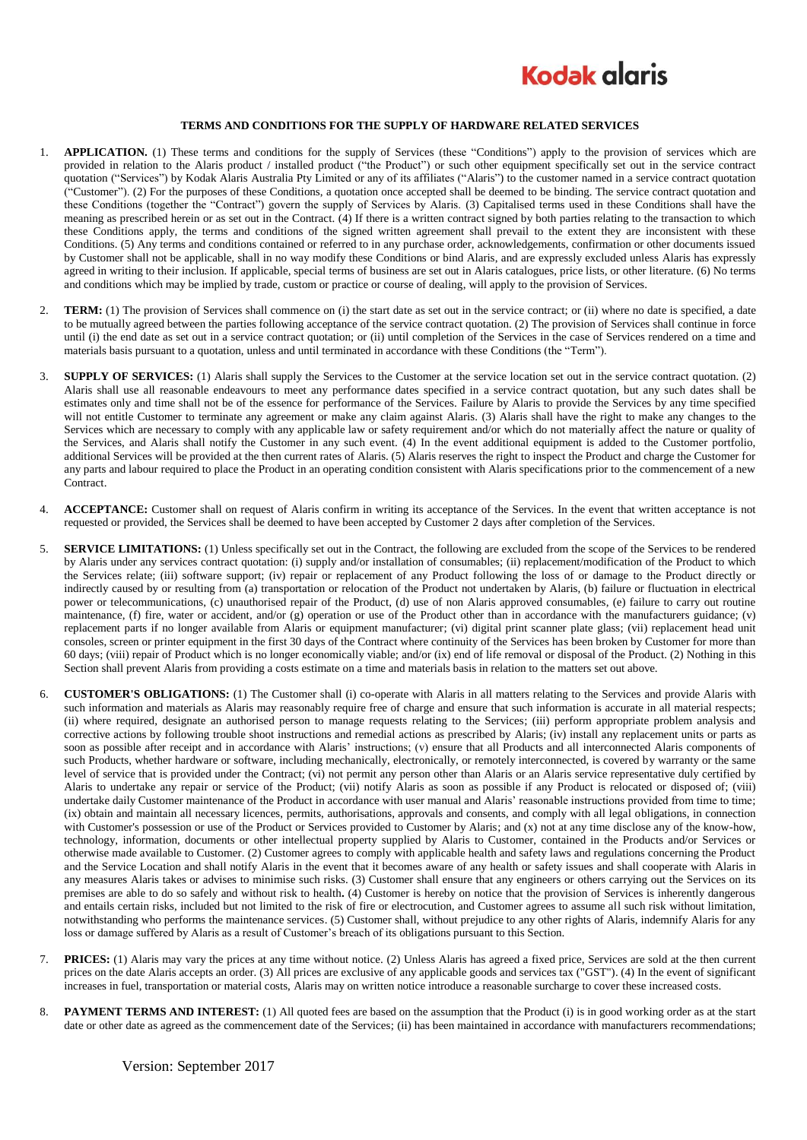

## **TERMS AND CONDITIONS FOR THE SUPPLY OF HARDWARE RELATED SERVICES**

- 1. **APPLICATION.** (1) These terms and conditions for the supply of Services (these "Conditions") apply to the provision of services which are provided in relation to the Alaris product / installed product ("the Product") or such other equipment specifically set out in the service contract quotation ("Services") by Kodak Alaris Australia Pty Limited or any of its affiliates ("Alaris") to the customer named in a service contract quotation ("Customer"). (2) For the purposes of these Conditions, a quotation once accepted shall be deemed to be binding. The service contract quotation and these Conditions (together the "Contract") govern the supply of Services by Alaris. (3) Capitalised terms used in these Conditions shall have the meaning as prescribed herein or as set out in the Contract. (4) If there is a written contract signed by both parties relating to the transaction to which these Conditions apply, the terms and conditions of the signed written agreement shall prevail to the extent they are inconsistent with these Conditions. (5) Any terms and conditions contained or referred to in any purchase order, acknowledgements, confirmation or other documents issued by Customer shall not be applicable, shall in no way modify these Conditions or bind Alaris, and are expressly excluded unless Alaris has expressly agreed in writing to their inclusion. If applicable, special terms of business are set out in Alaris catalogues, price lists, or other literature. (6) No terms and conditions which may be implied by trade, custom or practice or course of dealing, will apply to the provision of Services.
- 2. **TERM:** (1) The provision of Services shall commence on (i) the start date as set out in the service contract; or (ii) where no date is specified, a date to be mutually agreed between the parties following acceptance of the service contract quotation. (2) The provision of Services shall continue in force until (i) the end date as set out in a service contract quotation; or (ii) until completion of the Services in the case of Services rendered on a time and materials basis pursuant to a quotation, unless and until terminated in accordance with these Conditions (the "Term").
- 3. **SUPPLY OF SERVICES:** (1) Alaris shall supply the Services to the Customer at the service location set out in the service contract quotation. (2) Alaris shall use all reasonable endeavours to meet any performance dates specified in a service contract quotation, but any such dates shall be estimates only and time shall not be of the essence for performance of the Services. Failure by Alaris to provide the Services by any time specified will not entitle Customer to terminate any agreement or make any claim against Alaris. (3) Alaris shall have the right to make any changes to the Services which are necessary to comply with any applicable law or safety requirement and/or which do not materially affect the nature or quality of the Services, and Alaris shall notify the Customer in any such event. (4) In the event additional equipment is added to the Customer portfolio, additional Services will be provided at the then current rates of Alaris. (5) Alaris reserves the right to inspect the Product and charge the Customer for any parts and labour required to place the Product in an operating condition consistent with Alaris specifications prior to the commencement of a new Contract.
- 4. **ACCEPTANCE:** Customer shall on request of Alaris confirm in writing its acceptance of the Services. In the event that written acceptance is not requested or provided, the Services shall be deemed to have been accepted by Customer 2 days after completion of the Services.
- 5. **SERVICE LIMITATIONS:** (1) Unless specifically set out in the Contract, the following are excluded from the scope of the Services to be rendered by Alaris under any services contract quotation: (i) supply and/or installation of consumables; (ii) replacement/modification of the Product to which the Services relate; (iii) software support; (iv) repair or replacement of any Product following the loss of or damage to the Product directly or indirectly caused by or resulting from (a) transportation or relocation of the Product not undertaken by Alaris, (b) failure or fluctuation in electrical power or telecommunications, (c) unauthorised repair of the Product, (d) use of non Alaris approved consumables, (e) failure to carry out routine maintenance, (f) fire, water or accident, and/or (g) operation or use of the Product other than in accordance with the manufacturers guidance; (v) replacement parts if no longer available from Alaris or equipment manufacturer; (vi) digital print scanner plate glass; (vii) replacement head unit consoles, screen or printer equipment in the first 30 days of the Contract where continuity of the Services has been broken by Customer for more than 60 days; (viii) repair of Product which is no longer economically viable; and/or (ix) end of life removal or disposal of the Product. (2) Nothing in this Section shall prevent Alaris from providing a costs estimate on a time and materials basis in relation to the matters set out above.
- <span id="page-0-0"></span>6. **CUSTOMER'S OBLIGATIONS:** (1) The Customer shall (i) co-operate with Alaris in all matters relating to the Services and provide Alaris with such information and materials as Alaris may reasonably require free of charge and ensure that such information is accurate in all material respects; (ii) where required, designate an authorised person to manage requests relating to the Services; (iii) perform appropriate problem analysis and corrective actions by following trouble shoot instructions and remedial actions as prescribed by Alaris; (iv) install any replacement units or parts as soon as possible after receipt and in accordance with Alaris' instructions; (v) ensure that all Products and all interconnected Alaris components of such Products, whether hardware or software, including mechanically, electronically, or remotely interconnected, is covered by warranty or the same level of service that is provided under the Contract; (vi) not permit any person other than Alaris or an Alaris service representative duly certified by Alaris to undertake any repair or service of the Product; (vii) notify Alaris as soon as possible if any Product is relocated or disposed of; (viii) undertake daily Customer maintenance of the Product in accordance with user manual and Alaris' reasonable instructions provided from time to time; (ix) obtain and maintain all necessary licences, permits, authorisations, approvals and consents, and comply with all legal obligations, in connection with Customer's possession or use of the Product or Services provided to Customer by Alaris; and (x) not at any time disclose any of the know-how, technology, information, documents or other intellectual property supplied by Alaris to Customer, contained in the Products and/or Services or otherwise made available to Customer. (2) Customer agrees to comply with applicable health and safety laws and regulations concerning the Product and the Service Location and shall notify Alaris in the event that it becomes aware of any health or safety issues and shall cooperate with Alaris in any measures Alaris takes or advises to minimise such risks. (3) Customer shall ensure that any engineers or others carrying out the Services on its premises are able to do so safely and without risk to health**.** (4) Customer is hereby on notice that the provision of Services is inherently dangerous and entails certain risks, included but not limited to the risk of fire or electrocution, and Customer agrees to assume all such risk without limitation, notwithstanding who performs the maintenance services. (5) Customer shall, without prejudice to any other rights of Alaris, indemnify Alaris for any loss or damage suffered by Alaris as a result of Customer's breach of its obligations pursuant to this Section.
- 7. **PRICES:** (1) Alaris may vary the prices at any time without notice. (2) Unless Alaris has agreed a fixed price, Services are sold at the then current prices on the date Alaris accepts an order. (3) All prices are exclusive of any applicable goods and services tax ("GST"). (4) In the event of significant increases in fuel, transportation or material costs, Alaris may on written notice introduce a reasonable surcharge to cover these increased costs.
- 8. **PAYMENT TERMS AND INTEREST:** (1) All quoted fees are based on the assumption that the Product (i) is in good working order as at the start date or other date as agreed as the commencement date of the Services; (ii) has been maintained in accordance with manufacturers recommendations;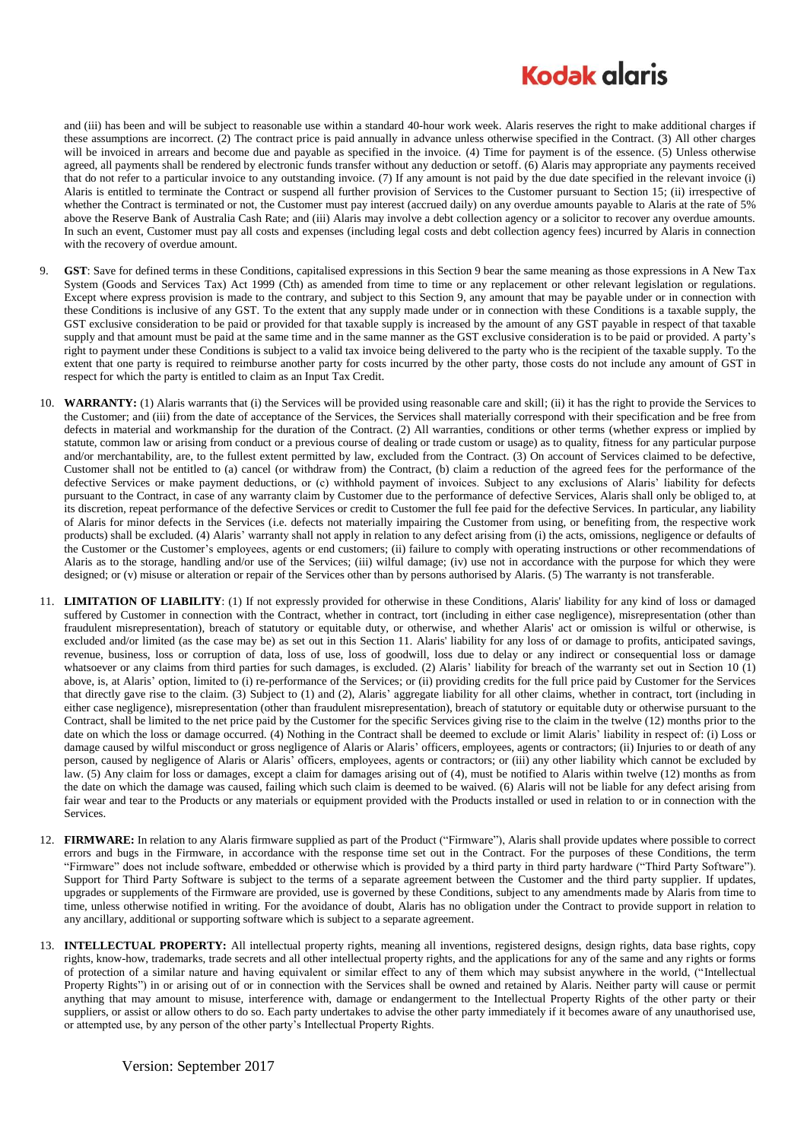## **Kodak glgris**

and (iii) has been and will be subject to reasonable use within a standard 40-hour work week. Alaris reserves the right to make additional charges if these assumptions are incorrect. (2) The contract price is paid annually in advance unless otherwise specified in the Contract. (3) All other charges will be invoiced in arrears and become due and payable as specified in the invoice. (4) Time for payment is of the essence. (5) Unless otherwise agreed, all payments shall be rendered by electronic funds transfer without any deduction or setoff. (6) Alaris may appropriate any payments received that do not refer to a particular invoice to any outstanding invoice. (7) If any amount is not paid by the due date specified in the relevant invoice (i) Alaris is entitled to terminate the Contract or suspend all further provision of Services to the Customer pursuant to Section 15; (ii) irrespective of whether the Contract is terminated or not, the Customer must pay interest (accrued daily) on any overdue amounts payable to Alaris at the rate of 5% above the Reserve Bank of Australia Cash Rate; and (iii) Alaris may involve a debt collection agency or a solicitor to recover any overdue amounts. In such an event, Customer must pay all costs and expenses (including legal costs and debt collection agency fees) incurred by Alaris in connection with the recovery of overdue amount.

- 9. **GST**: Save for defined terms in these Conditions, capitalised expressions in this Section 9 bear the same meaning as those expressions in A New Tax System (Goods and Services Tax) Act 1999 (Cth) as amended from time to time or any replacement or other relevant legislation or regulations. Except where express provision is made to the contrary, and subject to this Section 9, any amount that may be payable under or in connection with these Conditions is inclusive of any GST. To the extent that any supply made under or in connection with these Conditions is a taxable supply, the GST exclusive consideration to be paid or provided for that taxable supply is increased by the amount of any GST payable in respect of that taxable supply and that amount must be paid at the same time and in the same manner as the GST exclusive consideration is to be paid or provided. A party's right to payment under these Conditions is subject to a valid tax invoice being delivered to the party who is the recipient of the taxable supply. To the extent that one party is required to reimburse another party for costs incurred by the other party, those costs do not include any amount of GST in respect for which the party is entitled to claim as an Input Tax Credit.
- 10. **WARRANTY:** (1) Alaris warrants that (i) the Services will be provided using reasonable care and skill; (ii) it has the right to provide the Services to the Customer; and (iii) from the date of acceptance of the Services, the Services shall materially correspond with their specification and be free from defects in material and workmanship for the duration of the Contract. (2) All warranties, conditions or other terms (whether express or implied by statute, common law or arising from conduct or a previous course of dealing or trade custom or usage) as to quality, fitness for any particular purpose and/or merchantability, are, to the fullest extent permitted by law, excluded from the Contract. (3) On account of Services claimed to be defective, Customer shall not be entitled to (a) cancel (or withdraw from) the Contract, (b) claim a reduction of the agreed fees for the performance of the defective Services or make payment deductions, or (c) withhold payment of invoices. Subject to any exclusions of Alaris' liability for defects pursuant to the Contract, in case of any warranty claim by Customer due to the performance of defective Services, Alaris shall only be obliged to, at its discretion, repeat performance of the defective Services or credit to Customer the full fee paid for the defective Services. In particular, any liability of Alaris for minor defects in the Services (i.e. defects not materially impairing the Customer from using, or benefiting from, the respective work products) shall be excluded. (4) Alaris' warranty shall not apply in relation to any defect arising from (i) the acts, omissions, negligence or defaults of the Customer or the Customer's employees, agents or end customers; (ii) failure to comply with operating instructions or other recommendations of Alaris as to the storage, handling and/or use of the Services; (iii) wilful damage; (iv) use not in accordance with the purpose for which they were designed; or (v) misuse or alteration or repair of the Services other than by persons authorised by Alaris. (5) The warranty is not transferable.
- 11. **LIMITATION OF LIABILITY**: (1) If not expressly provided for otherwise in these Conditions, Alaris' liability for any kind of loss or damaged suffered by Customer in connection with the Contract, whether in contract, tort (including in either case negligence), misrepresentation (other than fraudulent misrepresentation), breach of statutory or equitable duty, or otherwise, and whether Alaris' act or omission is wilful or otherwise, is excluded and/or limited (as the case may be) as set out in this Section 11. Alaris' liability for any loss of or damage to profits, anticipated savings, revenue, business, loss or corruption of data, loss of use, loss of goodwill, loss due to delay or any indirect or consequential loss or damage whatsoever or any claims from third parties for such damages, is excluded. (2) Alaris' liability for breach of the warranty set out in Section 10 (1) above, is, at Alaris' option, limited to (i) re-performance of the Services; or (ii) providing credits for the full price paid by Customer for the Services that directly gave rise to the claim. (3) Subject to (1) and (2), Alaris' aggregate liability for all other claims, whether in contract, tort (including in either case negligence), misrepresentation (other than fraudulent misrepresentation), breach of statutory or equitable duty or otherwise pursuant to the Contract, shall be limited to the net price paid by the Customer for the specific Services giving rise to the claim in the twelve (12) months prior to the date on which the loss or damage occurred. (4) Nothing in the Contract shall be deemed to exclude or limit Alaris' liability in respect of: (i) Loss or damage caused by wilful misconduct or gross negligence of Alaris or Alaris' officers, employees, agents or contractors; (ii) Injuries to or death of any person, caused by negligence of Alaris or Alaris' officers, employees, agents or contractors; or (iii) any other liability which cannot be excluded by law. (5) Any claim for loss or damages, except a claim for damages arising out of (4), must be notified to Alaris within twelve (12) months as from the date on which the damage was caused, failing which such claim is deemed to be waived. (6) Alaris will not be liable for any defect arising from fair wear and tear to the Products or any materials or equipment provided with the Products installed or used in relation to or in connection with the Services.
- 12. **FIRMWARE:** In relation to any Alaris firmware supplied as part of the Product ("Firmware"), Alaris shall provide updates where possible to correct errors and bugs in the Firmware, in accordance with the response time set out in the Contract. For the purposes of these Conditions, the term "Firmware" does not include software, embedded or otherwise which is provided by a third party in third party hardware ("Third Party Software"). Support for Third Party Software is subject to the terms of a separate agreement between the Customer and the third party supplier. If updates, upgrades or supplements of the Firmware are provided, use is governed by these Conditions, subject to any amendments made by Alaris from time to time, unless otherwise notified in writing. For the avoidance of doubt, Alaris has no obligation under the Contract to provide support in relation to any ancillary, additional or supporting software which is subject to a separate agreement.
- 13. **INTELLECTUAL PROPERTY:** All intellectual property rights, meaning all inventions, registered designs, design rights, data base rights, copy rights, know-how, trademarks, trade secrets and all other intellectual property rights, and the applications for any of the same and any rights or forms of protection of a similar nature and having equivalent or similar effect to any of them which may subsist anywhere in the world, ("Intellectual Property Rights") in or arising out of or in connection with the Services shall be owned and retained by Alaris. Neither party will cause or permit anything that may amount to misuse, interference with, damage or endangerment to the Intellectual Property Rights of the other party or their suppliers, or assist or allow others to do so. Each party undertakes to advise the other party immediately if it becomes aware of any unauthorised use, or attempted use, by any person of the other party's Intellectual Property Rights.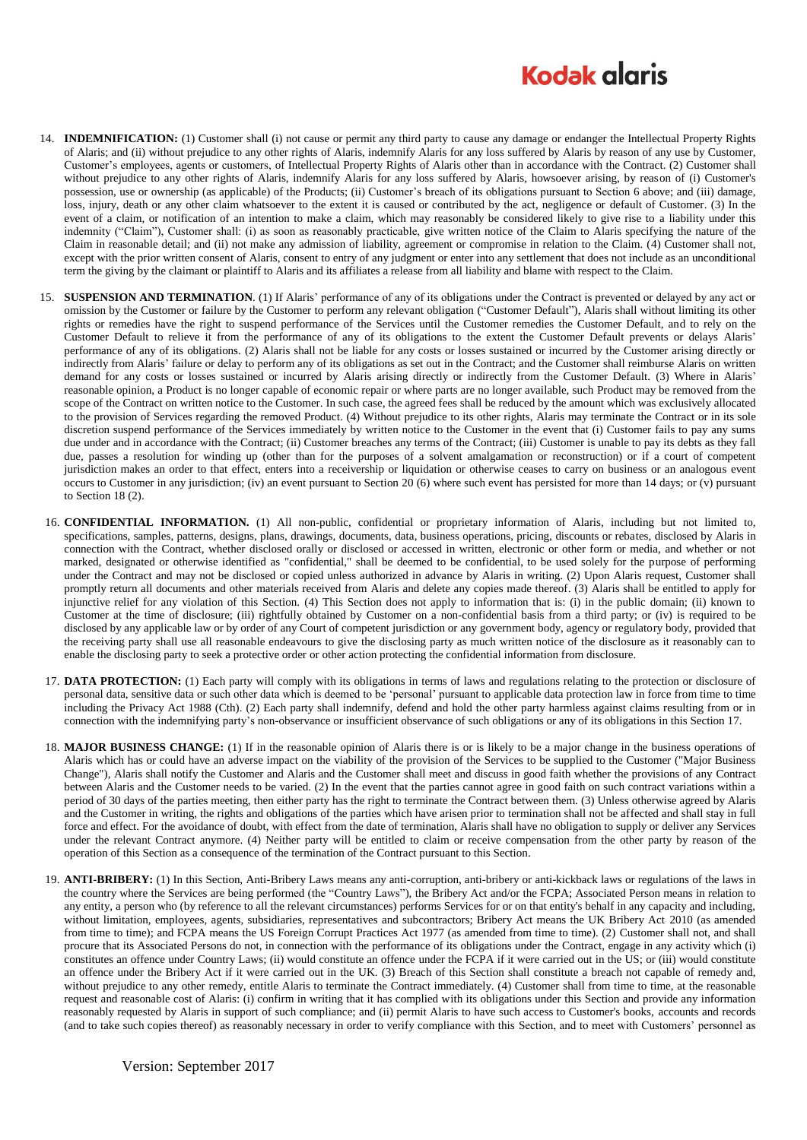## **Kodak glgris**

- 14. **INDEMNIFICATION:** (1) Customer shall (i) not cause or permit any third party to cause any damage or endanger the Intellectual Property Rights of Alaris; and (ii) without prejudice to any other rights of Alaris, indemnify Alaris for any loss suffered by Alaris by reason of any use by Customer, Customer's employees, agents or customers, of Intellectual Property Rights of Alaris other than in accordance with the Contract. (2) Customer shall without prejudice to any other rights of Alaris, indemnify Alaris for any loss suffered by Alaris, howsoever arising, by reason of (i) Customer's possession, use or ownership (as applicable) of the Products; (ii) Customer's breach of its obligations pursuant to Sectio[n 6](#page-0-0) above; and (iii) damage, loss, injury, death or any other claim whatsoever to the extent it is caused or contributed by the act, negligence or default of Customer. (3) In the event of a claim, or notification of an intention to make a claim, which may reasonably be considered likely to give rise to a liability under this indemnity ("Claim"), Customer shall: (i) as soon as reasonably practicable, give written notice of the Claim to Alaris specifying the nature of the Claim in reasonable detail; and (ii) not make any admission of liability, agreement or compromise in relation to the Claim. (4) Customer shall not, except with the prior written consent of Alaris, consent to entry of any judgment or enter into any settlement that does not include as an unconditional term the giving by the claimant or plaintiff to Alaris and its affiliates a release from all liability and blame with respect to the Claim.
- 15. **SUSPENSION AND TERMINATION**. (1) If Alaris' performance of any of its obligations under the Contract is prevented or delayed by any act or omission by the Customer or failure by the Customer to perform any relevant obligation ("Customer Default"), Alaris shall without limiting its other rights or remedies have the right to suspend performance of the Services until the Customer remedies the Customer Default, and to rely on the Customer Default to relieve it from the performance of any of its obligations to the extent the Customer Default prevents or delays Alaris' performance of any of its obligations. (2) Alaris shall not be liable for any costs or losses sustained or incurred by the Customer arising directly or indirectly from Alaris' failure or delay to perform any of its obligations as set out in the Contract; and the Customer shall reimburse Alaris on written demand for any costs or losses sustained or incurred by Alaris arising directly or indirectly from the Customer Default. (3) Where in Alaris' reasonable opinion, a Product is no longer capable of economic repair or where parts are no longer available, such Product may be removed from the scope of the Contract on written notice to the Customer. In such case, the agreed fees shall be reduced by the amount which was exclusively allocated to the provision of Services regarding the removed Product. (4) Without prejudice to its other rights, Alaris may terminate the Contract or in its sole discretion suspend performance of the Services immediately by written notice to the Customer in the event that (i) Customer fails to pay any sums due under and in accordance with the Contract; (ii) Customer breaches any terms of the Contract; (iii) Customer is unable to pay its debts as they fall due, passes a resolution for winding up (other than for the purposes of a solvent amalgamation or reconstruction) or if a court of competent jurisdiction makes an order to that effect, enters into a receivership or liquidation or otherwise ceases to carry on business or an analogous event occurs to Customer in any jurisdiction; (iv) an event pursuant to Section 20 (6) where such event has persisted for more than 14 days; or  $\overline{v}$  pursuant to Section 18 (2).
- 16. **CONFIDENTIAL INFORMATION.** (1) All non-public, confidential or proprietary information of Alaris, including but not limited to, specifications, samples, patterns, designs, plans, drawings, documents, data, business operations, pricing, discounts or rebates, disclosed by Alaris in connection with the Contract, whether disclosed orally or disclosed or accessed in written, electronic or other form or media, and whether or not marked, designated or otherwise identified as "confidential," shall be deemed to be confidential, to be used solely for the purpose of performing under the Contract and may not be disclosed or copied unless authorized in advance by Alaris in writing. (2) Upon Alaris request, Customer shall promptly return all documents and other materials received from Alaris and delete any copies made thereof. (3) Alaris shall be entitled to apply for injunctive relief for any violation of this Section. (4) This Section does not apply to information that is: (i) in the public domain; (ii) known to Customer at the time of disclosure; (iii) rightfully obtained by Customer on a non-confidential basis from a third party; or (iv) is required to be disclosed by any applicable law or by order of any Court of competent jurisdiction or any government body, agency or regulatory body, provided that the receiving party shall use all reasonable endeavours to give the disclosing party as much written notice of the disclosure as it reasonably can to enable the disclosing party to seek a protective order or other action protecting the confidential information from disclosure.
- 17. **DATA PROTECTION:** (1) Each party will comply with its obligations in terms of laws and regulations relating to the protection or disclosure of personal data, sensitive data or such other data which is deemed to be 'personal' pursuant to applicable data protection law in force from time to time including the Privacy Act 1988 (Cth). (2) Each party shall indemnify, defend and hold the other party harmless against claims resulting from or in connection with the indemnifying party's non-observance or insufficient observance of such obligations or any of its obligations in this Section 17.
- 18. MAJOR BUSINESS CHANGE: (1) If in the reasonable opinion of Alaris there is or is likely to be a major change in the business operations of Alaris which has or could have an adverse impact on the viability of the provision of the Services to be supplied to the Customer ("Major Business Change"), Alaris shall notify the Customer and Alaris and the Customer shall meet and discuss in good faith whether the provisions of any Contract between Alaris and the Customer needs to be varied. (2) In the event that the parties cannot agree in good faith on such contract variations within a period of 30 days of the parties meeting, then either party has the right to terminate the Contract between them. (3) Unless otherwise agreed by Alaris and the Customer in writing, the rights and obligations of the parties which have arisen prior to termination shall not be affected and shall stay in full force and effect. For the avoidance of doubt, with effect from the date of termination, Alaris shall have no obligation to supply or deliver any Services under the relevant Contract anymore. (4) Neither party will be entitled to claim or receive compensation from the other party by reason of the operation of this Section as a consequence of the termination of the Contract pursuant to this Section.
- 19. **ANTI-BRIBERY:** (1) In this Section, Anti-Bribery Laws means any anti-corruption, anti-bribery or anti-kickback laws or regulations of the laws in the country where the Services are being performed (the "Country Laws"), the Bribery Act and/or the FCPA; Associated Person means in relation to any entity, a person who (by reference to all the relevant circumstances) performs Services for or on that entity's behalf in any capacity and including, without limitation, employees, agents, subsidiaries, representatives and subcontractors; Bribery Act means the UK Bribery Act 2010 (as amended from time to time); and FCPA means the US Foreign Corrupt Practices Act 1977 (as amended from time to time). (2) Customer shall not, and shall procure that its Associated Persons do not, in connection with the performance of its obligations under the Contract, engage in any activity which (i) constitutes an offence under Country Laws; (ii) would constitute an offence under the FCPA if it were carried out in the US; or (iii) would constitute an offence under the Bribery Act if it were carried out in the UK. (3) Breach of this Section shall constitute a breach not capable of remedy and, without prejudice to any other remedy, entitle Alaris to terminate the Contract immediately. (4) Customer shall from time to time, at the reasonable request and reasonable cost of Alaris: (i) confirm in writing that it has complied with its obligations under this Section and provide any information reasonably requested by Alaris in support of such compliance; and (ii) permit Alaris to have such access to Customer's books, accounts and records (and to take such copies thereof) as reasonably necessary in order to verify compliance with this Section, and to meet with Customers' personnel as